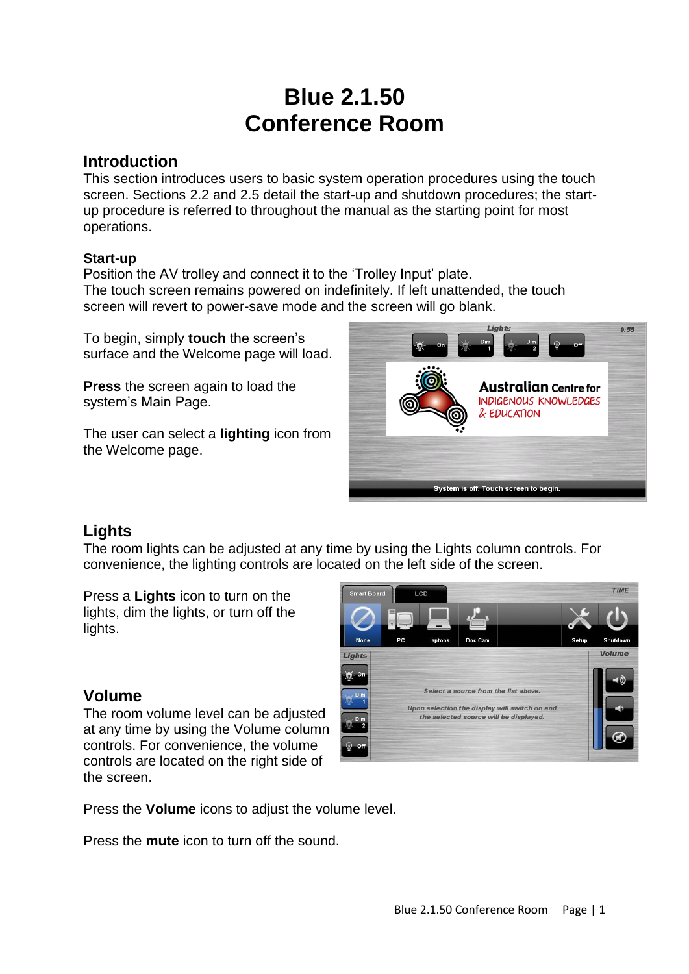# **Blue 2.1.50 Conference Room**

### **Introduction**

This section introduces users to basic system operation procedures using the touch screen. Sections 2.2 and 2.5 detail the start-up and shutdown procedures; the startup procedure is referred to throughout the manual as the starting point for most operations.

#### **Start-up**

Position the AV trolley and connect it to the 'Trolley Input' plate. The touch screen remains powered on indefinitely. If left unattended, the touch screen will revert to power-save mode and the screen will go blank.

To begin, simply **touch** the screen's surface and the Welcome page will load.

**Press** the screen again to load the system's Main Page.

The user can select a **lighting** icon from the Welcome page.



# **Lights**

The room lights can be adjusted at any time by using the Lights column controls. For convenience, the lighting controls are located on the left side of the screen.

Press a **Lights** icon to turn on the lights, dim the lights, or turn off the lights.

### **Volume**

The room volume level can be adjusted at any time by using the Volume column controls. For convenience, the volume controls are located on the right side of the screen.



Press the **Volume** icons to adjust the volume level.

Press the **mute** icon to turn off the sound.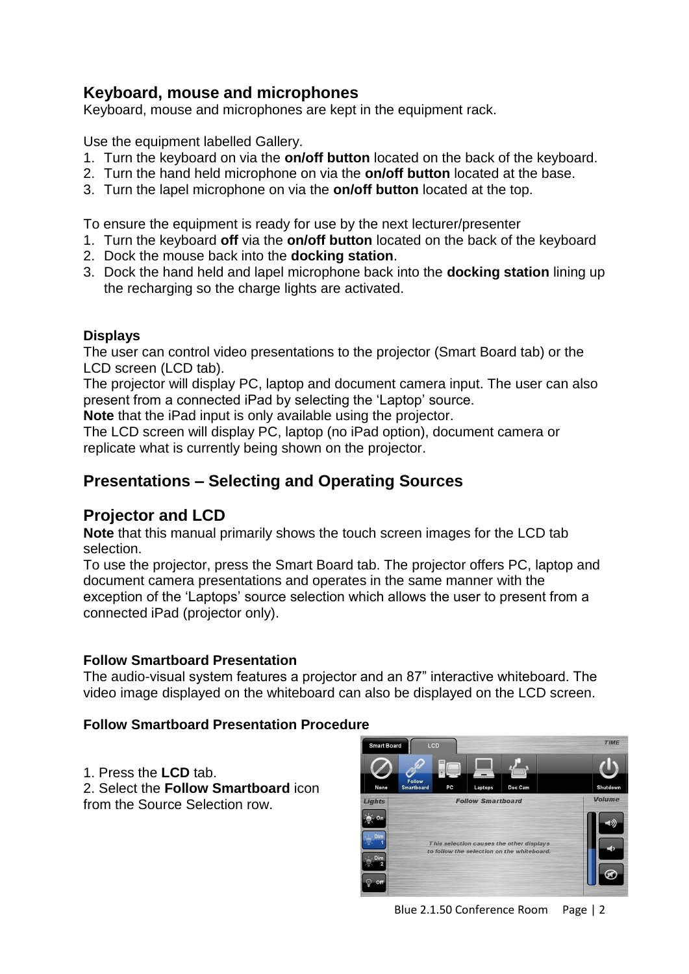## **Keyboard, mouse and microphones**

Keyboard, mouse and microphones are kept in the equipment rack.

Use the equipment labelled Gallery.

- 1. Turn the keyboard on via the **on/off button** located on the back of the keyboard.
- 2. Turn the hand held microphone on via the **on/off button** located at the base.
- 3. Turn the lapel microphone on via the **on/off button** located at the top.

To ensure the equipment is ready for use by the next lecturer/presenter

- 1. Turn the keyboard **off** via the **on/off button** located on the back of the keyboard
- 2. Dock the mouse back into the **docking station**.
- 3. Dock the hand held and lapel microphone back into the **docking station** lining up the recharging so the charge lights are activated.

### **Displays**

The user can control video presentations to the projector (Smart Board tab) or the LCD screen (LCD tab).

The projector will display PC, laptop and document camera input. The user can also present from a connected iPad by selecting the 'Laptop' source.

**Note** that the iPad input is only available using the projector.

The LCD screen will display PC, laptop (no iPad option), document camera or replicate what is currently being shown on the projector.

## **Presentations – Selecting and Operating Sources**

### **Projector and LCD**

**Note** that this manual primarily shows the touch screen images for the LCD tab selection.

To use the projector, press the Smart Board tab. The projector offers PC, laptop and document camera presentations and operates in the same manner with the exception of the 'Laptops' source selection which allows the user to present from a connected iPad (projector only).

### **Follow Smartboard Presentation**

The audio-visual system features a projector and an 87" interactive whiteboard. The video image displayed on the whiteboard can also be displayed on the LCD screen.

### **Follow Smartboard Presentation Procedure**

1. Press the **LCD** tab.

2. Select the **Follow Smartboard** icon from the Source Selection row.



#### Blue 2.1.50 Conference Room Page | 2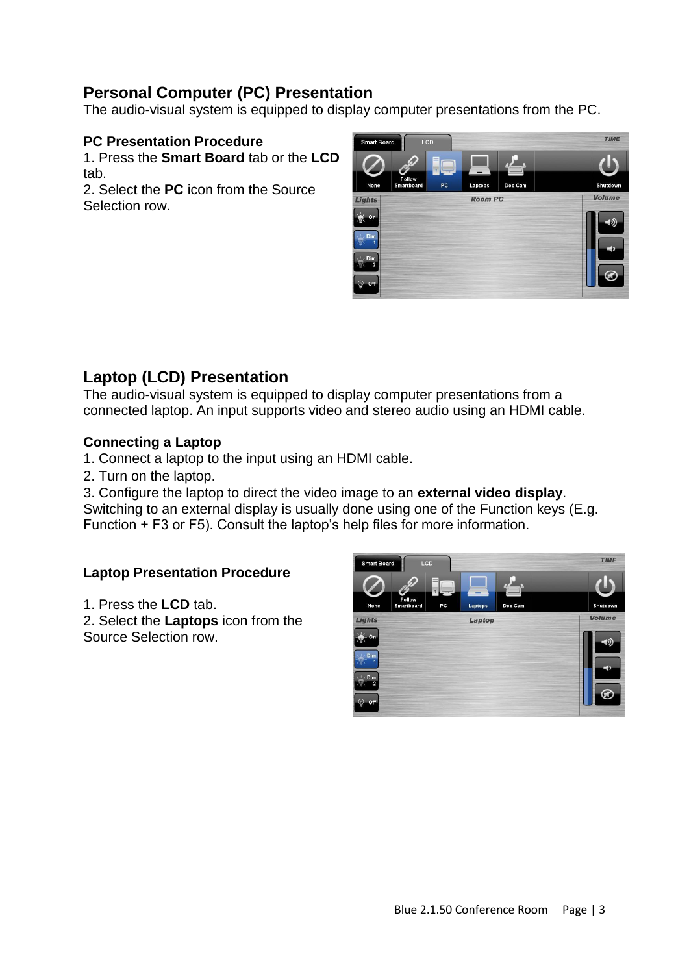# **Personal Computer (PC) Presentation**

The audio-visual system is equipped to display computer presentations from the PC.

### **PC Presentation Procedure**

1. Press the **Smart Board** tab or the **LCD**  tab.

2. Select the **PC** icon from the Source Selection row.



# **Laptop (LCD) Presentation**

The audio-visual system is equipped to display computer presentations from a connected laptop. An input supports video and stereo audio using an HDMI cable.

#### **Connecting a Laptop**

- 1. Connect a laptop to the input using an HDMI cable.
- 2. Turn on the laptop.

3. Configure the laptop to direct the video image to an **external video display**. Switching to an external display is usually done using one of the Function keys (E.g.

Function + F3 or F5). Consult the laptop's help files for more information.

### **Laptop Presentation Procedure**

- 1. Press the **LCD** tab.
- 2. Select the **Laptops** icon from the Source Selection row.

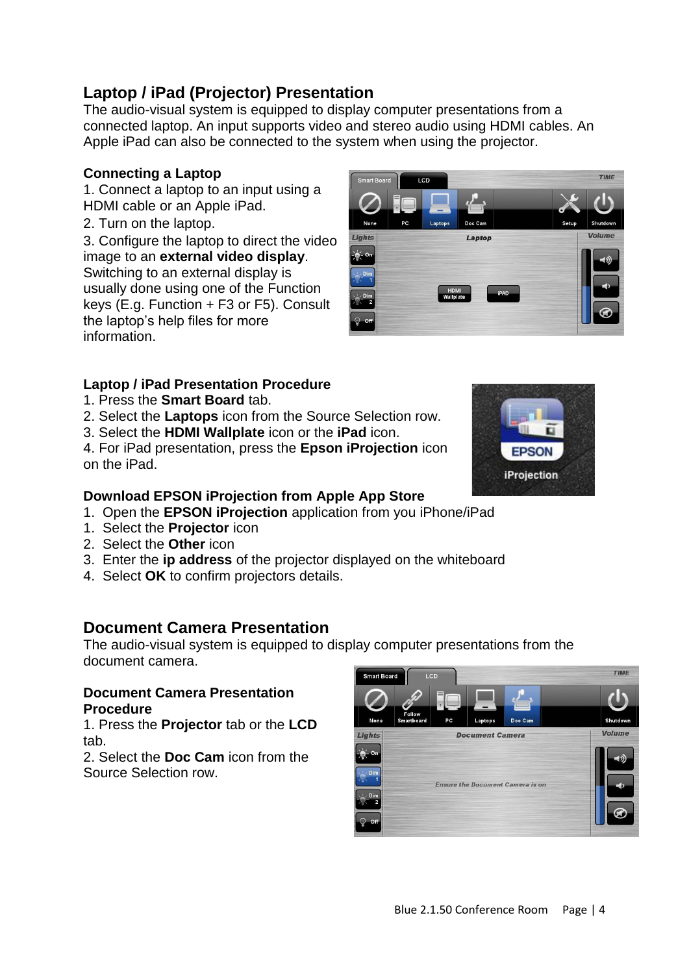# **Laptop / iPad (Projector) Presentation**

The audio-visual system is equipped to display computer presentations from a connected laptop. An input supports video and stereo audio using HDMI cables. An Apple iPad can also be connected to the system when using the projector.

### **Connecting a Laptop**

1. Connect a laptop to an input using a HDMI cable or an Apple iPad.

2. Turn on the laptop.

3. Configure the laptop to direct the video image to an **external video display**. Switching to an external display is usually done using one of the Function keys (E.g. Function + F3 or F5). Consult the laptop's help files for more information.

#### **Laptop / iPad Presentation Procedure**

- 1. Press the **Smart Board** tab.
- 2. Select the **Laptops** icon from the Source Selection row.
- 3. Select the **HDMI Wallplate** icon or the **iPad** icon.

4. For iPad presentation, press the **Epson iProjection** icon on the iPad.

### **Download EPSON iProjection from Apple App Store**

- 1. Open the **EPSON iProjection** application from you iPhone/iPad
- 1. Select the **Projector** icon
- 2. Select the **Other** icon
- 3. Enter the **ip address** of the projector displayed on the whiteboard
- 4. Select **OK** to confirm projectors details.

## **Document Camera Presentation**

The audio-visual system is equipped to display computer presentations from the document camera.

#### **Document Camera Presentation Procedure**

1. Press the **Projector** tab or the **LCD**  tab.

2. Select the **Doc Cam** icon from the Source Selection row.